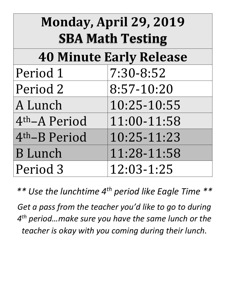| Monday, April 29, 2019<br><b>SBA Math Testing</b> |             |  |
|---------------------------------------------------|-------------|--|
| <b>40 Minute Early Release</b>                    |             |  |
| Period 1                                          | 7:30-8:52   |  |
| Period 2                                          | 8:57-10:20  |  |
| A Lunch                                           | 10:25-10:55 |  |
| 4 <sup>th</sup> -A Period                         | 11:00-11:58 |  |
| 4th-B Period                                      | 10:25-11:23 |  |
| <b>B</b> Lunch                                    | 11:28-11:58 |  |
| Period 3                                          | 12:03-1:25  |  |

*\*\* Use the lunchtime 4th period like Eagle Time \*\**

*Get a pass from the teacher you'd like to go to during 4 th period…make sure you have the same lunch or the teacher is okay with you coming during their lunch.*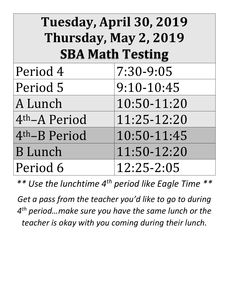| Tuesday, April 30, 2019<br>Thursday, May 2, 2019<br><b>SBA Math Testing</b> |             |  |
|-----------------------------------------------------------------------------|-------------|--|
| Period 4                                                                    | 7:30-9:05   |  |
| Period 5                                                                    | 9:10-10:45  |  |
| A Lunch                                                                     | 10:50-11:20 |  |
| 4 <sup>th</sup> -A Period                                                   | 11:25-12:20 |  |
| 4 <sup>th</sup> -B Period                                                   | 10:50-11:45 |  |
| <b>B</b> Lunch                                                              | 11:50-12:20 |  |
| Period 6                                                                    | 12:25-2:05  |  |

*\*\* Use the lunchtime 4th period like Eagle Time \*\**

*Get a pass from the teacher you'd like to go to during 4 th period…make sure you have the same lunch or the teacher is okay with you coming during their lunch.*